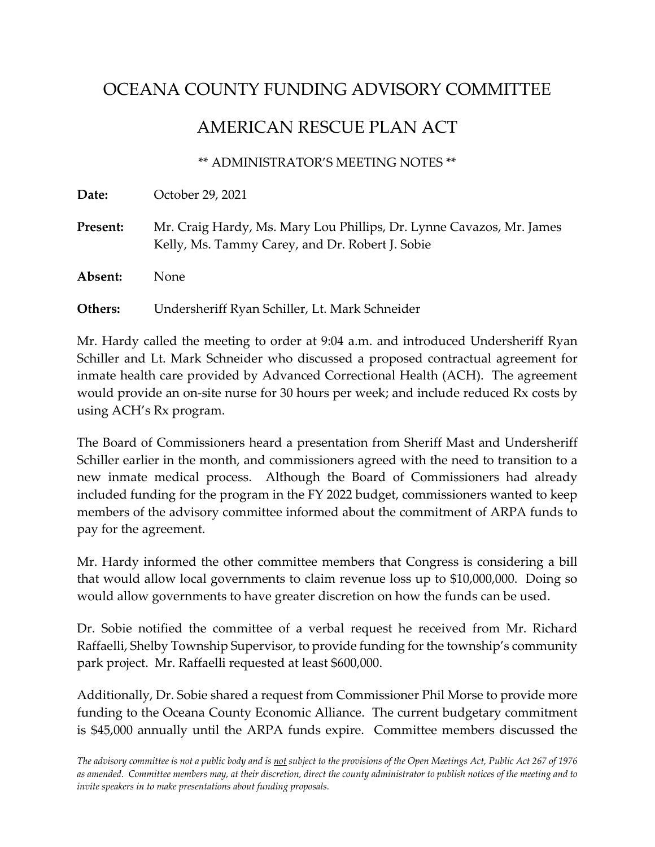## OCEANA COUNTY FUNDING ADVISORY COMMITTEE

## AMERICAN RESCUE PLAN ACT

## \*\* ADMINISTRATOR'S MEETING NOTES \*\*

**Date:** October 29, 2021

Present: Mr. Craig Hardy, Ms. Mary Lou Phillips, Dr. Lynne Cavazos, Mr. James Kelly, Ms. Tammy Carey, and Dr. Robert J. Sobie

**Absent:** None

**Others:** Undersheriff Ryan Schiller, Lt. Mark Schneider

Mr. Hardy called the meeting to order at 9:04 a.m. and introduced Undersheriff Ryan Schiller and Lt. Mark Schneider who discussed a proposed contractual agreement for inmate health care provided by Advanced Correctional Health (ACH). The agreement would provide an on-site nurse for 30 hours per week; and include reduced Rx costs by using ACH's Rx program.

The Board of Commissioners heard a presentation from Sheriff Mast and Undersheriff Schiller earlier in the month, and commissioners agreed with the need to transition to a new inmate medical process. Although the Board of Commissioners had already included funding for the program in the FY 2022 budget, commissioners wanted to keep members of the advisory committee informed about the commitment of ARPA funds to pay for the agreement.

Mr. Hardy informed the other committee members that Congress is considering a bill that would allow local governments to claim revenue loss up to \$10,000,000. Doing so would allow governments to have greater discretion on how the funds can be used.

Dr. Sobie notified the committee of a verbal request he received from Mr. Richard Raffaelli, Shelby Township Supervisor, to provide funding for the township's community park project. Mr. Raffaelli requested at least \$600,000.

Additionally, Dr. Sobie shared a request from Commissioner Phil Morse to provide more funding to the Oceana County Economic Alliance. The current budgetary commitment is \$45,000 annually until the ARPA funds expire. Committee members discussed the

The advisory committee is not a public body and is not subject to the provisions of the Open Meetings Act, Public Act 267 of 1976 as amended. Committee members may, at their discretion, direct the county administrator to publish notices of the meeting and to *invite speakers in to make presentations about funding proposals.*